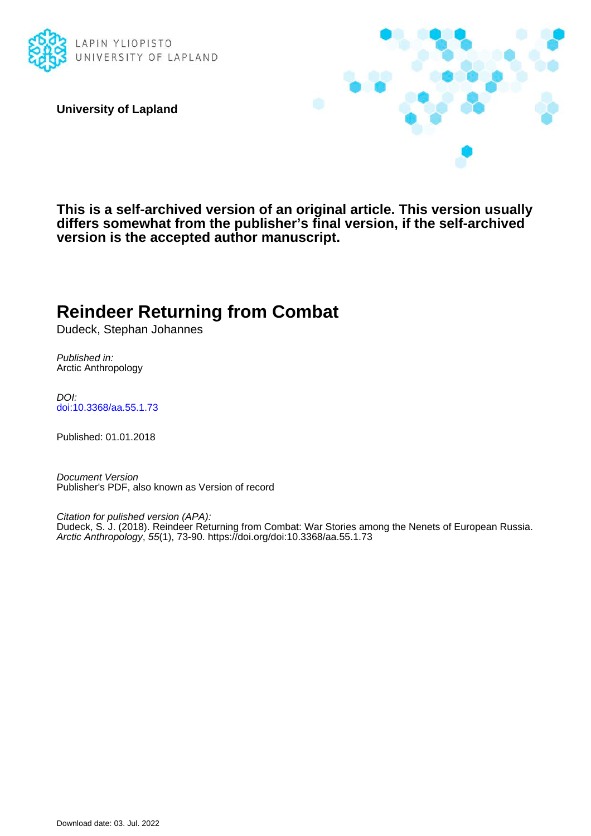

**University of Lapland**



**This is a self-archived version of an original article. This version usually differs somewhat from the publisher's final version, if the self-archived version is the accepted author manuscript.**

# **Reindeer Returning from Combat**

Dudeck, Stephan Johannes

Published in: Arctic Anthropology

DOI: [doi:10.3368/aa.55.1.73](https://doi.org/doi:10.3368/aa.55.1.73)

Published: 01.01.2018

Document Version Publisher's PDF, also known as Version of record

Citation for pulished version (APA): Dudeck, S. J. (2018). Reindeer Returning from Combat: War Stories among the Nenets of European Russia. Arctic Anthropology, 55(1), 73-90.<https://doi.org/doi:10.3368/aa.55.1.73>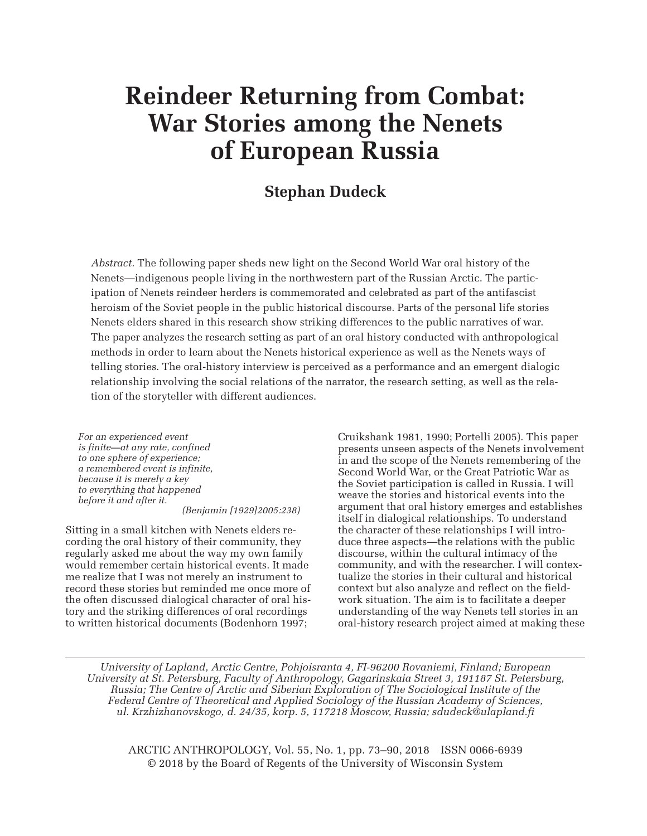# **Reindeer Returning from Combat: War Stories among the Nenets of European Russia**

# **Stephan Dudeck**

*Abstract.* The following paper sheds new light on the Second World War oral history of the Nenets—indigenous people living in the northwestern part of the Russian Arctic. The participation of Nenets reindeer herders is commemorated and celebrated as part of the antifascist heroism of the Soviet people in the public historical discourse. Parts of the personal life stories Nenets elders shared in this research show striking differences to the public narratives of war. The paper analyzes the research setting as part of an oral history conducted with anthropological methods in order to learn about the Nenets historical experience as well as the Nenets ways of telling stories. The oral-history interview is perceived as a performance and an emergent dialogic relationship involving the social relations of the narrator, the research setting, as well as the relation of the storyteller with different audiences.

*For an experienced event is finite—at any rate, confined to one sphere of experience; a remembered event is infinite, because it is merely a key to everything that happened before it and after it.*

*(Benjamin [1929]2005:238)*

Sitting in a small kitchen with Nenets elders recording the oral history of their community, they regularly asked me about the way my own family would remember certain historical events. It made me realize that I was not merely an instrument to record these stories but reminded me once more of the often discussed dialogical character of oral history and the striking differences of oral recordings to written historical documents (Bodenhorn 1997;

Cruikshank 1981, 1990; Portelli 2005). This paper presents unseen aspects of the Nenets involvement in and the scope of the Nenets remembering of the Second World War, or the Great Patriotic War as the Soviet participation is called in Russia. I will weave the stories and historical events into the argument that oral history emerges and establishes itself in dialogical relationships. To understand the character of these relationships I will introduce three aspects—the relations with the public discourse, within the cultural intimacy of the community, and with the researcher. I will contextualize the stories in their cultural and historical context but also analyze and reflect on the fieldwork situation. The aim is to facilitate a deeper understanding of the way Nenets tell stories in an oral-history research project aimed at making these

*University of Lapland, Arctic Centre, Pohjoisranta 4, FI-96200 Rovaniemi, Finland; European University at St. Petersburg, Faculty of Anthropology, Gagarinskaia Street 3, 191187 St. Petersburg, Russia; The Centre of Arctic and Siberian Exploration of The Sociological Institute of the Federal Centre of Theoretical and Applied Sociology of the Russian Academy of Sciences, ul. Krzhizhanovskogo, d. 24/35, korp. 5, 117218 Moscow, Russia; sdudeck@ulapland.fi*

ARCTIC ANTHROPOLOGY, Vol. 55, No. 1, pp. 73–90, 2018 ISSN 0066-6939 © 2018 by the Board of Regents of the University of Wisconsin System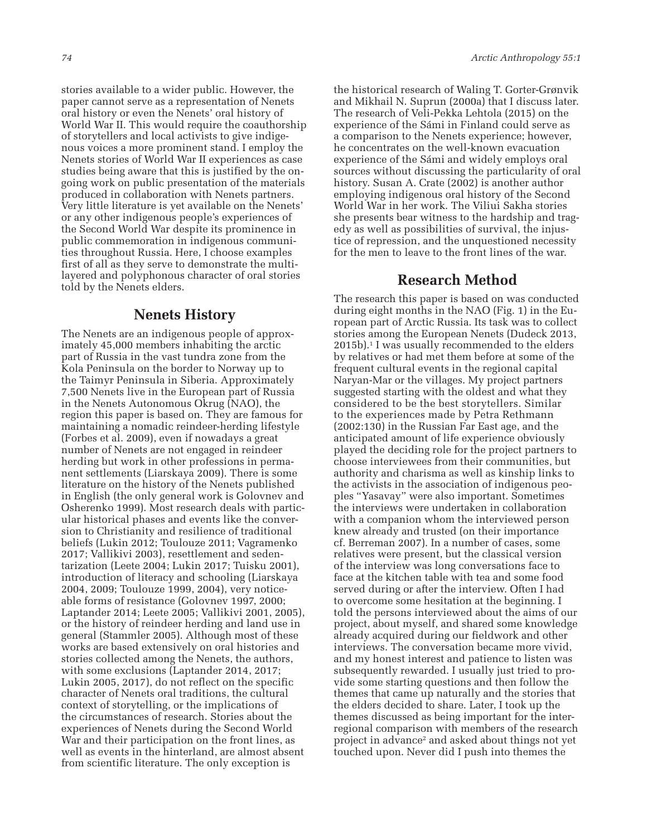stories available to a wider public. However, the paper cannot serve as a representation of Nenets oral history or even the Nenets' oral history of World War II. This would require the coauthorship of storytellers and local activists to give indigenous voices a more prominent stand. I employ the Nenets stories of World War II experiences as case studies being aware that this is justified by the ongoing work on public presentation of the materials produced in collaboration with Nenets partners. Very little literature is yet available on the Nenets' or any other indigenous people's experiences of the Second World War despite its prominence in public commemoration in indigenous communities throughout Russia. Here, I choose examples first of all as they serve to demonstrate the multilayered and polyphonous character of oral stories told by the Nenets elders.

# **Nenets History**

The Nenets are an indigenous people of approximately 45,000 members inhabiting the arctic part of Russia in the vast tundra zone from the Kola Peninsula on the border to Norway up to the Taimyr Peninsula in Siberia. Approximately 7,500 Nenets live in the European part of Russia in the Nenets Autonomous Okrug (NAO), the region this paper is based on. They are famous for maintaining a nomadic reindeer-herding lifestyle (Forbes et al. 2009), even if nowadays a great number of Nenets are not engaged in reindeer herding but work in other professions in permanent settlements (Liarskaya 2009). There is some literature on the history of the Nenets published in English (the only general work is Golovnev and Osherenko 1999). Most research deals with particular historical phases and events like the conversion to Christianity and resilience of traditional beliefs (Lukin 2012; Toulouze 2011; Vagramenko 2017; Vallikivi 2003), resettlement and sedentarization (Leete 2004; Lukin 2017; Tuisku 2001), introduction of literacy and schooling (Liarskaya 2004, 2009; Toulouze 1999, 2004), very noticeable forms of resistance (Golovnev 1997, 2000; Laptander 2014; Leete 2005; Vallikivi 2001, 2005), or the history of reindeer herding and land use in general (Stammler 2005). Although most of these works are based extensively on oral histories and stories collected among the Nenets, the authors, with some exclusions (Laptander 2014, 2017; Lukin 2005, 2017), do not reflect on the specific character of Nenets oral traditions, the cultural context of storytelling, or the implications of the circumstances of research. Stories about the experiences of Nenets during the Second World War and their participation on the front lines, as well as events in the hinterland, are almost absent from scientific literature. The only exception is

the historical research of Waling T. Gorter-Grønvik and Mikhail N. Suprun (2000a) that I discuss later. The research of Veli-Pekka Lehtola (2015) on the experience of the Sámi in Finland could serve as a comparison to the Nenets experience; however, he concentrates on the well-known evacuation experience of the Sámi and widely employs oral sources without discussing the particularity of oral history. Susan A. Crate (2002) is another author employing indigenous oral history of the Second World War in her work. The Viliui Sakha stories she presents bear witness to the hardship and tragedy as well as possibilities of survival, the injustice of repression, and the unquestioned necessity for the men to leave to the front lines of the war.

### **Research Method**

The research this paper is based on was conducted during eight months in the NAO (Fig. 1) in the European part of Arctic Russia. Its task was to collect stories among the European Nenets (Dudeck 2013,  $2015<sub>b</sub>$ .<sup>1</sup> I was usually recommended to the elders by relatives or had met them before at some of the frequent cultural events in the regional capital Naryan-Mar or the villages. My project partners suggested starting with the oldest and what they considered to be the best storytellers. Similar to the experiences made by Petra Rethmann (2002:130) in the Russian Far East age, and the anticipated amount of life experience obviously played the deciding role for the project partners to choose interviewees from their communities, but authority and charisma as well as kinship links to the activists in the association of indigenous peoples "Yasavay" were also important. Sometimes the interviews were undertaken in collaboration with a companion whom the interviewed person knew already and trusted (on their importance cf. Berreman 2007). In a number of cases, some relatives were present, but the classical version of the interview was long conversations face to face at the kitchen table with tea and some food served during or after the interview. Often I had to overcome some hesitation at the beginning. I told the persons interviewed about the aims of our project, about myself, and shared some knowledge already acquired during our fieldwork and other interviews. The conversation became more vivid, and my honest interest and patience to listen was subsequently rewarded. I usually just tried to provide some starting questions and then follow the themes that came up naturally and the stories that the elders decided to share. Later, I took up the themes discussed as being important for the interregional comparison with members of the research project in advance<sup>2</sup> and asked about things not yet touched upon. Never did I push into themes the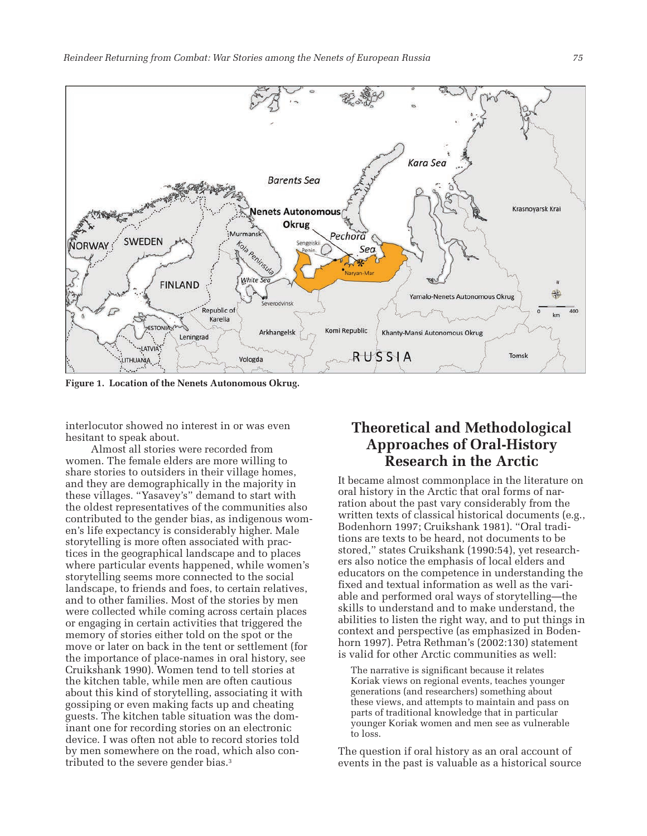

**Figure 1. Location of the Nenets Autonomous Okrug.**

interlocutor showed no interest in or was even hesitant to speak about.

Almost all stories were recorded from women. The female elders are more willing to share stories to outsiders in their village homes, and they are demographically in the majority in these villages. "Yasavey's" demand to start with the oldest representatives of the communities also contributed to the gender bias, as indigenous women's life expectancy is considerably higher. Male storytelling is more often associated with practices in the geographical landscape and to places where particular events happened, while women's storytelling seems more connected to the social landscape, to friends and foes, to certain relatives, and to other families. Most of the stories by men were collected while coming across certain places or engaging in certain activities that triggered the memory of stories either told on the spot or the move or later on back in the tent or settlement (for the importance of place-names in oral history, see Cruikshank 1990). Women tend to tell stories at the kitchen table, while men are often cautious about this kind of storytelling, associating it with gossiping or even making facts up and cheating guests. The kitchen table situation was the dominant one for recording stories on an electronic device. I was often not able to record stories told by men somewhere on the road, which also contributed to the severe gender bias.<sup>3</sup>

# **Theoretical and Methodological Approaches of Oral-History Research in the Arctic**

It became almost commonplace in the literature on oral history in the Arctic that oral forms of narration about the past vary considerably from the written texts of classical historical documents (e.g., Bodenhorn 1997; Cruikshank 1981). "Oral traditions are texts to be heard, not documents to be stored," states Cruikshank (1990:54), yet researchers also notice the emphasis of local elders and educators on the competence in understanding the fixed and textual information as well as the variable and performed oral ways of storytelling—the skills to understand and to make understand, the abilities to listen the right way, and to put things in context and perspective (as emphasized in Bodenhorn 1997). Petra Rethman's (2002:130) statement is valid for other Arctic communities as well:

The narrative is significant because it relates Koriak views on regional events, teaches younger generations (and researchers) something about these views, and attempts to maintain and pass on parts of traditional knowledge that in particular younger Koriak women and men see as vulnerable to loss.

The question if oral history as an oral account of events in the past is valuable as a historical source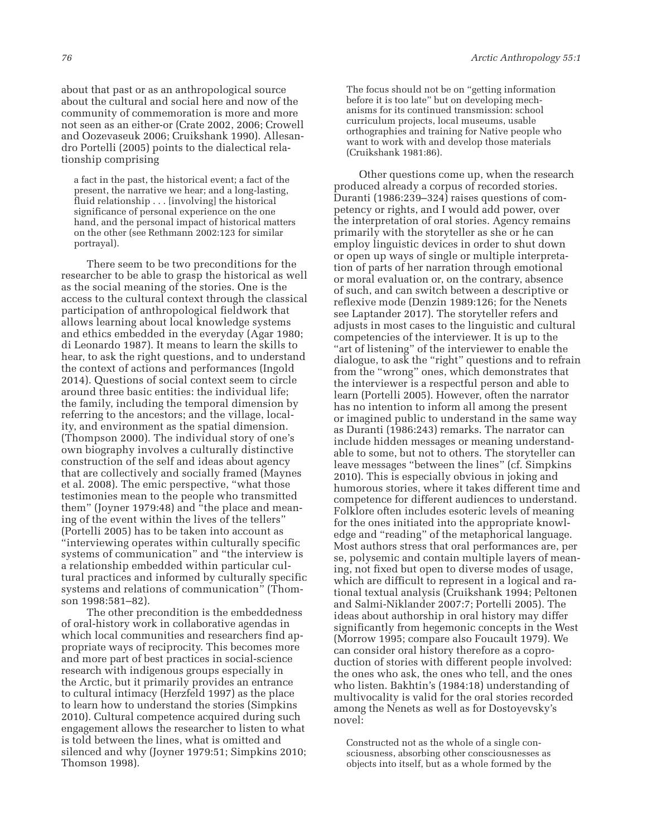about that past or as an anthropological source about the cultural and social here and now of the community of commemoration is more and more not seen as an either-or (Crate 2002, 2006; Crowell and Oozevaseuk 2006; Cruikshank 1990). Allesandro Portelli (2005) points to the dialectical relationship comprising

a fact in the past, the historical event; a fact of the present, the narrative we hear; and a long-lasting, fluid relationship . . . [involving] the historical significance of personal experience on the one hand, and the personal impact of historical matters on the other (see Rethmann 2002:123 for similar portrayal).

There seem to be two preconditions for the researcher to be able to grasp the historical as well as the social meaning of the stories. One is the access to the cultural context through the classical participation of anthropological fieldwork that allows learning about local knowledge systems and ethics embedded in the everyday (Agar 1980; di Leonardo 1987). It means to learn the skills to hear, to ask the right questions, and to understand the context of actions and performances (Ingold 2014). Questions of social context seem to circle around three basic entities: the individual life; the family, including the temporal dimension by referring to the ancestors; and the village, locality, and environment as the spatial dimension. (Thompson 2000). The individual story of one's own biography involves a culturally distinctive construction of the self and ideas about agency that are collectively and socially framed (Maynes et al. 2008). The emic perspective, "what those testimonies mean to the people who transmitted them" (Joyner 1979:48) and "the place and meaning of the event within the lives of the tellers" (Portelli 2005) has to be taken into account as "interviewing operates within culturally specific systems of communication" and "the interview is a relationship embedded within particular cultural practices and informed by culturally specific systems and relations of communication" (Thomson 1998:581–82).

The other precondition is the embeddedness of oral-history work in collaborative agendas in which local communities and researchers find appropriate ways of reciprocity. This becomes more and more part of best practices in social-science research with indigenous groups especially in the Arctic, but it primarily provides an entrance to cultural intimacy (Herzfeld 1997) as the place to learn how to understand the stories (Simpkins 2010). Cultural competence acquired during such engagement allows the researcher to listen to what is told between the lines, what is omitted and silenced and why (Joyner 1979:51; Simpkins 2010; Thomson 1998).

The focus should not be on "getting information before it is too late" but on developing mechanisms for its continued transmission: school curriculum projects, local museums, usable orthographies and training for Native people who want to work with and develop those materials (Cruikshank 1981:86).

Other questions come up, when the research produced already a corpus of recorded stories. Duranti (1986:239–324) raises questions of competency or rights, and I would add power, over the interpretation of oral stories. Agency remains primarily with the storyteller as she or he can employ linguistic devices in order to shut down or open up ways of single or multiple interpretation of parts of her narration through emotional or moral evaluation or, on the contrary, absence of such, and can switch between a descriptive or reflexive mode (Denzin 1989:126; for the Nenets see Laptander 2017). The storyteller refers and adjusts in most cases to the linguistic and cultural competencies of the interviewer. It is up to the "art of listening" of the interviewer to enable the dialogue, to ask the "right" questions and to refrain from the "wrong" ones, which demonstrates that the interviewer is a respectful person and able to learn (Portelli 2005). However, often the narrator has no intention to inform all among the present or imagined public to understand in the same way as Duranti (1986:243) remarks. The narrator can include hidden messages or meaning understandable to some, but not to others. The storyteller can leave messages "between the lines" (cf. Simpkins 2010). This is especially obvious in joking and humorous stories, where it takes different time and competence for different audiences to understand. Folklore often includes esoteric levels of meaning for the ones initiated into the appropriate knowledge and "reading" of the metaphorical language. Most authors stress that oral performances are, per se, polysemic and contain multiple layers of meaning, not fixed but open to diverse modes of usage, which are difficult to represent in a logical and rational textual analysis (Cruikshank 1994; Peltonen and Salmi-Niklander 2007:7; Portelli 2005). The ideas about authorship in oral history may differ significantly from hegemonic concepts in the West (Morrow 1995; compare also Foucault 1979). We can consider oral history therefore as a coproduction of stories with different people involved: the ones who ask, the ones who tell, and the ones who listen. Bakhtin's (1984:18) understanding of multivocality is valid for the oral stories recorded among the Nenets as well as for Dostoyevsky's novel:

Constructed not as the whole of a single consciousness, absorbing other consciousnesses as objects into itself, but as a whole formed by the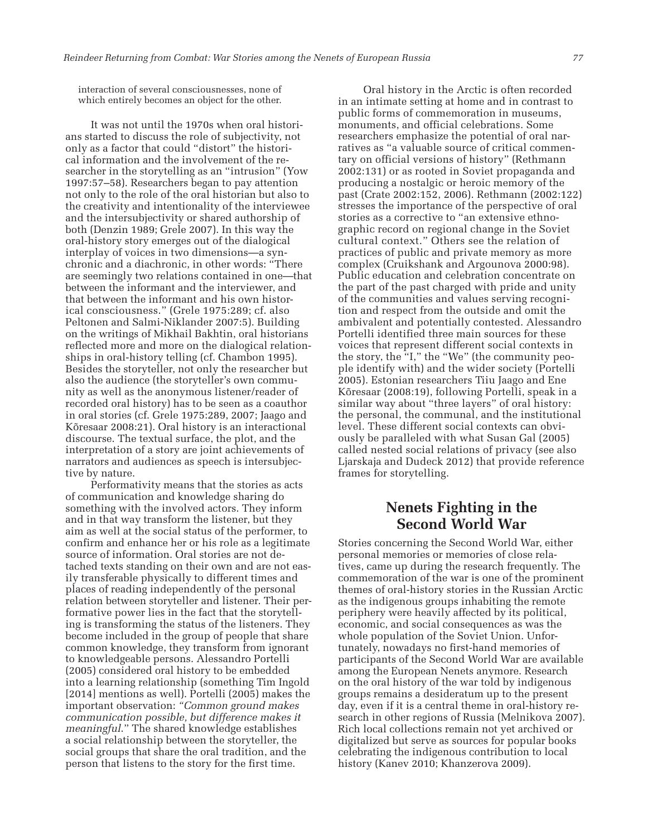interaction of several consciousnesses, none of which entirely becomes an object for the other.

It was not until the 1970s when oral historians started to discuss the role of subjectivity, not only as a factor that could "distort" the historical information and the involvement of the researcher in the storytelling as an "intrusion" (Yow 1997:57–58). Researchers began to pay attention not only to the role of the oral historian but also to the creativity and intentionality of the interviewee and the intersubjectivity or shared authorship of both (Denzin 1989; Grele 2007). In this way the oral-history story emerges out of the dialogical interplay of voices in two dimensions—a synchronic and a diachronic, in other words: "There are seemingly two relations contained in one—that between the informant and the interviewer, and that between the informant and his own historical consciousness." (Grele 1975:289; cf. also Peltonen and Salmi-Niklander 2007:5). Building on the writings of Mikhail Bakhtin, oral historians reflected more and more on the dialogical relationships in oral-history telling (cf. Chambon 1995). Besides the storyteller, not only the researcher but also the audience (the storyteller's own community as well as the anonymous listener/reader of recorded oral history) has to be seen as a coauthor in oral stories (cf. Grele 1975:289, 2007; Jaago and Kõresaar 2008:21). Oral history is an interactional discourse. The textual surface, the plot, and the interpretation of a story are joint achievements of narrators and audiences as speech is intersubjective by nature.

Performativity means that the stories as acts of communication and knowledge sharing do something with the involved actors. They inform and in that way transform the listener, but they aim as well at the social status of the performer, to confirm and enhance her or his role as a legitimate source of information. Oral stories are not detached texts standing on their own and are not easily transferable physically to different times and places of reading independently of the personal relation between storyteller and listener. Their performative power lies in the fact that the storytelling is transforming the status of the listeners. They become included in the group of people that share common knowledge, they transform from ignorant to knowledgeable persons. Alessandro Portelli (2005) considered oral history to be embedded into a learning relationship (something Tim Ingold [2014] mentions as well). Portelli (2005) makes the important observation: *"Common ground makes communication possible, but difference makes it meaningful*." The shared knowledge establishes a social relationship between the storyteller, the social groups that share the oral tradition, and the person that listens to the story for the first time.

Oral history in the Arctic is often recorded in an intimate setting at home and in contrast to public forms of commemoration in museums, monuments, and official celebrations. Some researchers emphasize the potential of oral narratives as "a valuable source of critical commentary on official versions of history" (Rethmann 2002:131) or as rooted in Soviet propaganda and producing a nostalgic or heroic memory of the past (Crate 2002:152, 2006). Rethmann (2002:122) stresses the importance of the perspective of oral stories as a corrective to "an extensive ethnographic record on regional change in the Soviet cultural context." Others see the relation of practices of public and private memory as more complex (Cruikshank and Argounova 2000:98). Public education and celebration concentrate on the part of the past charged with pride and unity of the communities and values serving recognition and respect from the outside and omit the ambivalent and potentially contested. Alessandro Portelli identified three main sources for these voices that represent different social contexts in the story, the "I," the "We" (the community people identify with) and the wider society (Portelli 2005). Estonian researchers Tiiu Jaago and Ene Kõresaar (2008:19), following Portelli, speak in a similar way about "three layers" of oral history: the personal, the communal, and the institutional level. These different social contexts can obviously be paralleled with what Susan Gal (2005) called nested social relations of privacy (see also Ljarskaja and Dudeck 2012) that provide reference frames for storytelling.

# **Nenets Fighting in the Second World War**

Stories concerning the Second World War, either personal memories or memories of close relatives, came up during the research frequently. The commemoration of the war is one of the prominent themes of oral-history stories in the Russian Arctic as the indigenous groups inhabiting the remote periphery were heavily affected by its political, economic, and social consequences as was the whole population of the Soviet Union. Unfortunately, nowadays no first-hand memories of participants of the Second World War are available among the European Nenets anymore. Research on the oral history of the war told by indigenous groups remains a desideratum up to the present day, even if it is a central theme in oral-history research in other regions of Russia (Melnikova 2007). Rich local collections remain not yet archived or digitalized but serve as sources for popular books celebrating the indigenous contribution to local history (Kanev 2010; Khanzerova 2009).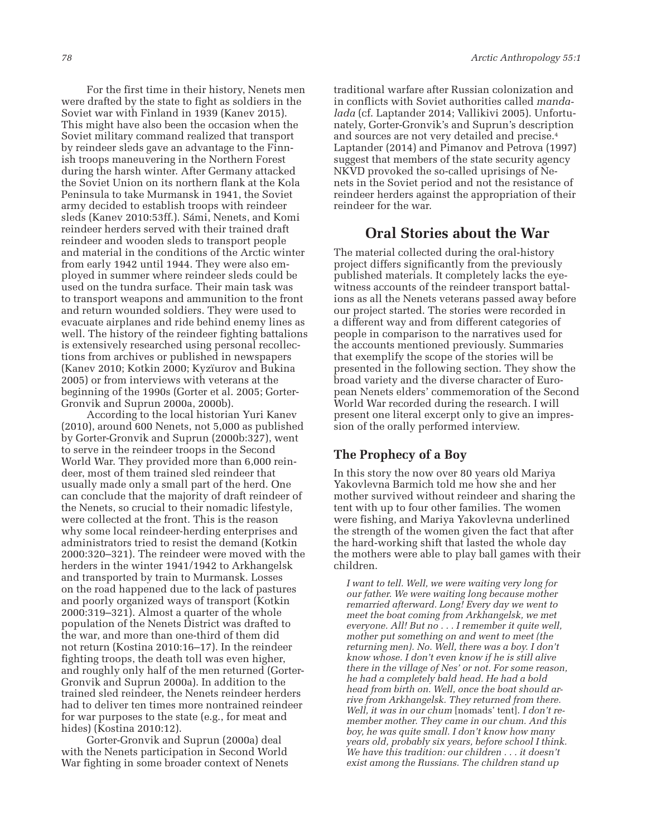For the first time in their history, Nenets men were drafted by the state to fight as soldiers in the Soviet war with Finland in 1939 (Kanev 2015). This might have also been the occasion when the Soviet military command realized that transport by reindeer sleds gave an advantage to the Finnish troops maneuvering in the Northern Forest during the harsh winter. After Germany attacked the Soviet Union on its northern flank at the Kola Peninsula to take Murmansk in 1941, the Soviet army decided to establish troops with reindeer sleds (Kanev 2010:53ff.). Sámi, Nenets, and Komi reindeer herders served with their trained draft reindeer and wooden sleds to transport people and material in the conditions of the Arctic winter from early 1942 until 1944. They were also employed in summer where reindeer sleds could be used on the tundra surface. Their main task was to transport weapons and ammunition to the front and return wounded soldiers. They were used to evacuate airplanes and ride behind enemy lines as well. The history of the reindeer fighting battalions is extensively researched using personal recollections from archives or published in newspapers (Kanev 2010; Kotkin 2000; Kyzïurov and Bukina 2005) or from interviews with veterans at the beginning of the 1990s (Gorter et al. 2005; Gorter-Gronvik and Suprun 2000a, 2000b).

According to the local historian Yuri Kanev (2010), around 600 Nenets, not 5,000 as published by Gorter-Gronvik and Suprun (2000b:327), went to serve in the reindeer troops in the Second World War. They provided more than 6,000 reindeer, most of them trained sled reindeer that usually made only a small part of the herd. One can conclude that the majority of draft reindeer of the Nenets, so crucial to their nomadic lifestyle, were collected at the front. This is the reason why some local reindeer-herding enterprises and administrators tried to resist the demand (Kotkin 2000:320–321). The reindeer were moved with the herders in the winter 1941/1942 to Arkhangelsk and transported by train to Murmansk. Losses on the road happened due to the lack of pastures and poorly organized ways of transport (Kotkin 2000:319–321). Almost a quarter of the whole population of the Nenets District was drafted to the war, and more than one-third of them did not return (Kostina 2010:16–17). In the reindeer fighting troops, the death toll was even higher, and roughly only half of the men returned (Gorter-Gronvik and Suprun 2000a). In addition to the trained sled reindeer, the Nenets reindeer herders had to deliver ten times more nontrained reindeer for war purposes to the state (e.g., for meat and hides) (Kostina 2010:12).

Gorter-Gronvik and Suprun (2000a) deal with the Nenets participation in Second World War fighting in some broader context of Nenets traditional warfare after Russian colonization and in conflicts with Soviet authorities called *mandalada* (cf. Laptander 2014; Vallikivi 2005). Unfortunately, Gorter-Gronvik's and Suprun's description and sources are not very detailed and precise.<sup>4</sup> Laptander (2014) and Pimanov and Petrova (1997) suggest that members of the state security agency NKVD provoked the so-called uprisings of Nenets in the Soviet period and not the resistance of reindeer herders against the appropriation of their reindeer for the war.

# **Oral Stories about the War**

The material collected during the oral-history project differs significantly from the previously published materials. It completely lacks the eyewitness accounts of the reindeer transport battalions as all the Nenets veterans passed away before our project started. The stories were recorded in a different way and from different categories of people in comparison to the narratives used for the accounts mentioned previously. Summaries that exemplify the scope of the stories will be presented in the following section. They show the broad variety and the diverse character of European Nenets elders' commemoration of the Second World War recorded during the research. I will present one literal excerpt only to give an impression of the orally performed interview.

#### **The Prophecy of a Boy**

In this story the now over 80 years old Mariya Yakovlevna Barmich told me how she and her mother survived without reindeer and sharing the tent with up to four other families. The women were fishing, and Mariya Yakovlevna underlined the strength of the women given the fact that after the hard-working shift that lasted the whole day the mothers were able to play ball games with their children.

*I want to tell. Well, we were waiting very long for our father. We were waiting long because mother remarried afterward. Long! Every day we went to meet the boat coming from Arkhangelsk, we met everyone. All! But no . . . I remember it quite well, mother put something on and went to meet (the returning men). No. Well, there was a boy. I don't know whose. I don't even know if he is still alive there in the village of Nes' or not. For some reason, he had a completely bald head. He had a bold head from birth on. Well, once the boat should arrive from Arkhangelsk. They returned from there. Well, it was in our chum* [nomads' tent]. *I don't remember mother. They came in our chum. And this boy, he was quite small. I don't know how many years old, probably six years, before school I think. We have this tradition: our children . . . it doesn't exist among the Russians. The children stand up*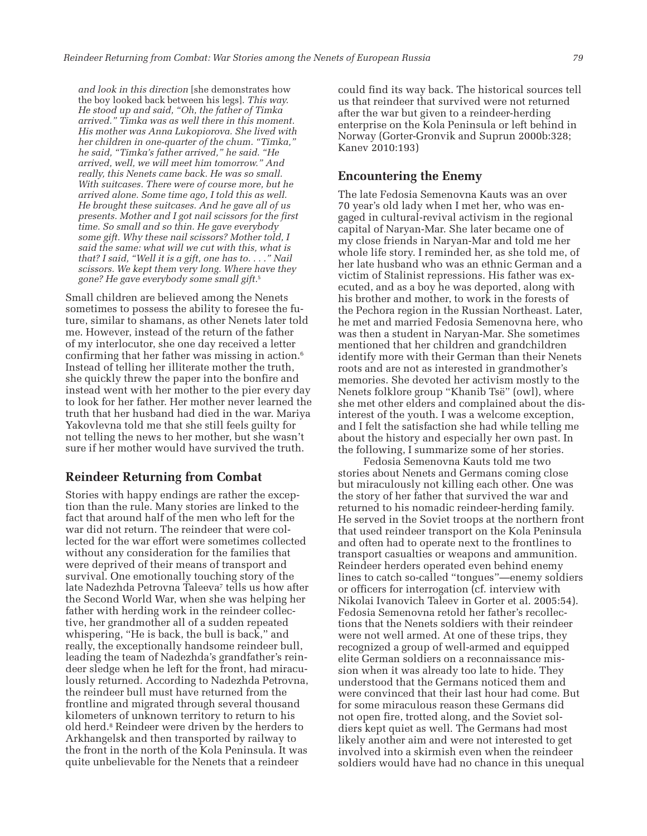*and look in this direction* [she demonstrates how the boy looked back between his legs]. *This way. He stood up and said, "Oh, the father of Timka arrived." Timka was as well there in this moment. His mother was Anna Lukopiorova. She lived with her children in one-quarter of the chum. "Timka," he said, "Timka's father arrived," he said. "He arrived, well, we will meet him tomorrow." And really, this Nenets came back. He was so small. With suitcases. There were of course more, but he arrived alone. Some time ago, I told this as well. He brought these suitcases. And he gave all of us presents. Mother and I got nail scissors for the first time. So small and so thin. He gave everybody some gift. Why these nail scissors? Mother told, I said the same: what will we cut with this, what is that? I said, "Well it is a gift, one has to. . . ." Nail scissors. We kept them very long. Where have they gone? He gave everybody some small gift.*<sup>5</sup>

Small children are believed among the Nenets sometimes to possess the ability to foresee the future, similar to shamans, as other Nenets later told me. However, instead of the return of the father of my interlocutor, she one day received a letter confirming that her father was missing in action.6 Instead of telling her illiterate mother the truth, she quickly threw the paper into the bonfire and instead went with her mother to the pier every day to look for her father. Her mother never learned the truth that her husband had died in the war. Mariya Yakovlevna told me that she still feels guilty for not telling the news to her mother, but she wasn't sure if her mother would have survived the truth.

#### **Reindeer Returning from Combat**

Stories with happy endings are rather the exception than the rule. Many stories are linked to the fact that around half of the men who left for the war did not return. The reindeer that were collected for the war effort were sometimes collected without any consideration for the families that were deprived of their means of transport and survival. One emotionally touching story of the late Nadezhda Petrovna Taleeva<sup>7</sup> tells us how after the Second World War, when she was helping her father with herding work in the reindeer collective, her grandmother all of a sudden repeated whispering, "He is back, the bull is back," and really, the exceptionally handsome reindeer bull, leading the team of Nadezhda's grandfather's reindeer sledge when he left for the front, had miraculously returned. According to Nadezhda Petrovna, the reindeer bull must have returned from the frontline and migrated through several thousand kilometers of unknown territory to return to his old herd.8 Reindeer were driven by the herders to Arkhangelsk and then transported by railway to the front in the north of the Kola Peninsula. It was quite unbelievable for the Nenets that a reindeer

could find its way back. The historical sources tell us that reindeer that survived were not returned after the war but given to a reindeer-herding enterprise on the Kola Peninsula or left behind in Norway (Gorter-Gronvik and Suprun 2000b:328; Kanev 2010:193)

#### **Encountering the Enemy**

The late Fedosia Semenovna Kauts was an over 70 year's old lady when I met her, who was engaged in cultural-revival activism in the regional capital of Naryan-Mar. She later became one of my close friends in Naryan-Mar and told me her whole life story. I reminded her, as she told me, of her late husband who was an ethnic German and a victim of Stalinist repressions. His father was executed, and as a boy he was deported, along with his brother and mother, to work in the forests of the Pechora region in the Russian Northeast. Later, he met and married Fedosia Semenovna here, who was then a student in Naryan-Mar. She sometimes mentioned that her children and grandchildren identify more with their German than their Nenets roots and are not as interested in grandmother's memories. She devoted her activism mostly to the Nenets folklore group "Khanib Tsë" (owl), where she met other elders and complained about the disinterest of the youth. I was a welcome exception, and I felt the satisfaction she had while telling me about the history and especially her own past. In the following, I summarize some of her stories.

Fedosia Semenovna Kauts told me two stories about Nenets and Germans coming close but miraculously not killing each other. One was the story of her father that survived the war and returned to his nomadic reindeer-herding family. He served in the Soviet troops at the northern front that used reindeer transport on the Kola Peninsula and often had to operate next to the frontlines to transport casualties or weapons and ammunition. Reindeer herders operated even behind enemy lines to catch so-called "tongues"—enemy soldiers or officers for interrogation (cf. interview with Nikolai Ivanovich Taleev in Gorter et al. 2005:54). Fedosia Semenovna retold her father's recollections that the Nenets soldiers with their reindeer were not well armed. At one of these trips, they recognized a group of well-armed and equipped elite German soldiers on a reconnaissance mission when it was already too late to hide. They understood that the Germans noticed them and were convinced that their last hour had come. But for some miraculous reason these Germans did not open fire, trotted along, and the Soviet soldiers kept quiet as well. The Germans had most likely another aim and were not interested to get involved into a skirmish even when the reindeer soldiers would have had no chance in this unequal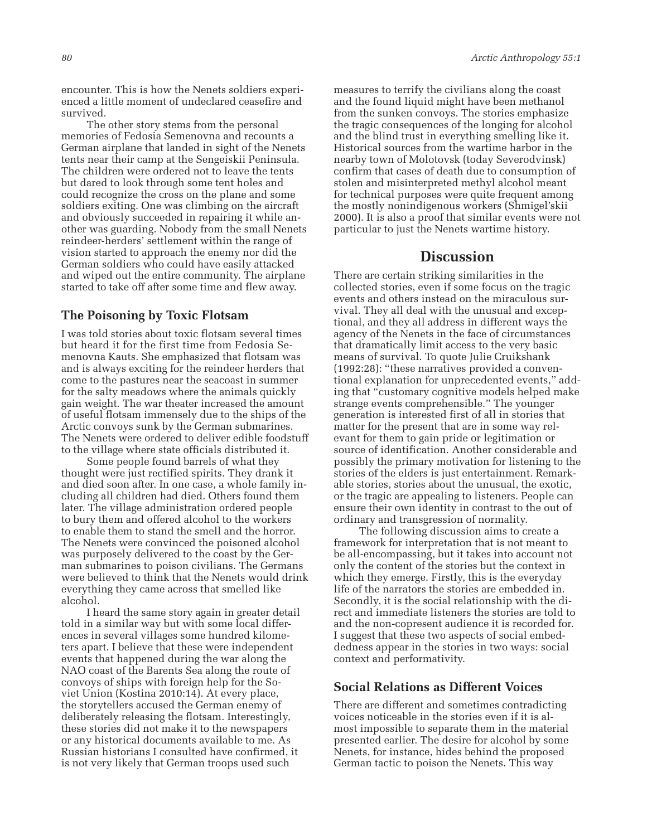encounter. This is how the Nenets soldiers experienced a little moment of undeclared ceasefire and survived.

The other story stems from the personal memories of Fedosia Semenovna and recounts a German airplane that landed in sight of the Nenets tents near their camp at the Sengeiskii Peninsula. The children were ordered not to leave the tents but dared to look through some tent holes and could recognize the cross on the plane and some soldiers exiting. One was climbing on the aircraft and obviously succeeded in repairing it while another was guarding. Nobody from the small Nenets reindeer-herders' settlement within the range of vision started to approach the enemy nor did the German soldiers who could have easily attacked and wiped out the entire community. The airplane started to take off after some time and flew away.

#### **The Poisoning by Toxic Flotsam**

I was told stories about toxic flotsam several times but heard it for the first time from Fedosia Semenovna Kauts. She emphasized that flotsam was and is always exciting for the reindeer herders that come to the pastures near the seacoast in summer for the salty meadows where the animals quickly gain weight. The war theater increased the amount of useful flotsam immensely due to the ships of the Arctic convoys sunk by the German submarines. The Nenets were ordered to deliver edible foodstuff to the village where state officials distributed it.

Some people found barrels of what they thought were just rectified spirits. They drank it and died soon after. In one case, a whole family including all children had died. Others found them later. The village administration ordered people to bury them and offered alcohol to the workers to enable them to stand the smell and the horror. The Nenets were convinced the poisoned alcohol was purposely delivered to the coast by the German submarines to poison civilians. The Germans were believed to think that the Nenets would drink everything they came across that smelled like alcohol.

I heard the same story again in greater detail told in a similar way but with some local differences in several villages some hundred kilometers apart. I believe that these were independent events that happened during the war along the NAO coast of the Barents Sea along the route of convoys of ships with foreign help for the Soviet Union (Kostina 2010:14). At every place, the storytellers accused the German enemy of deliberately releasing the flotsam. Interestingly, these stories did not make it to the newspapers or any historical documents available to me. As Russian historians I consulted have confirmed, it is not very likely that German troops used such

measures to terrify the civilians along the coast and the found liquid might have been methanol from the sunken convoys. The stories emphasize the tragic consequences of the longing for alcohol and the blind trust in everything smelling like it. Historical sources from the wartime harbor in the nearby town of Molotovsk (today Severodvinsk) confirm that cases of death due to consumption of stolen and misinterpreted methyl alcohol meant for technical purposes were quite frequent among the mostly nonindigenous workers (Shmigel'skii 2000). It is also a proof that similar events were not particular to just the Nenets wartime history.

# **Discussion**

There are certain striking similarities in the collected stories, even if some focus on the tragic events and others instead on the miraculous survival. They all deal with the unusual and exceptional, and they all address in different ways the agency of the Nenets in the face of circumstances that dramatically limit access to the very basic means of survival. To quote Julie Cruikshank (1992:28): "these narratives provided a conventional explanation for unprecedented events," adding that "customary cognitive models helped make strange events comprehensible." The younger generation is interested first of all in stories that matter for the present that are in some way relevant for them to gain pride or legitimation or source of identification. Another considerable and possibly the primary motivation for listening to the stories of the elders is just entertainment. Remarkable stories, stories about the unusual, the exotic, or the tragic are appealing to listeners. People can ensure their own identity in contrast to the out of ordinary and transgression of normality.

The following discussion aims to create a framework for interpretation that is not meant to be all-encompassing, but it takes into account not only the content of the stories but the context in which they emerge. Firstly, this is the everyday life of the narrators the stories are embedded in. Secondly, it is the social relationship with the direct and immediate listeners the stories are told to and the non-copresent audience it is recorded for. I suggest that these two aspects of social embeddedness appear in the stories in two ways: social context and performativity.

#### **Social Relations as Different Voices**

There are different and sometimes contradicting voices noticeable in the stories even if it is almost impossible to separate them in the material presented earlier. The desire for alcohol by some Nenets, for instance, hides behind the proposed German tactic to poison the Nenets. This way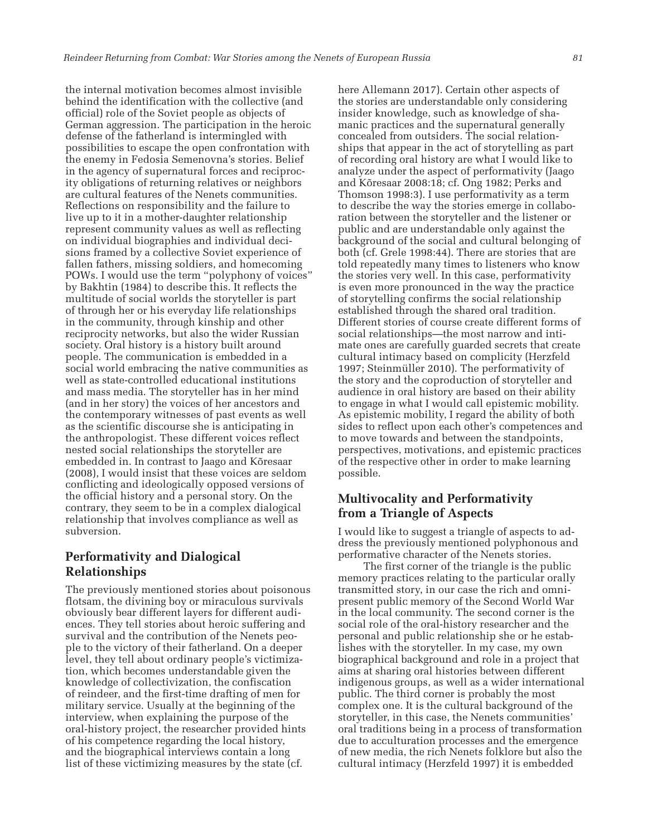the internal motivation becomes almost invisible behind the identification with the collective (and official) role of the Soviet people as objects of German aggression. The participation in the heroic defense of the fatherland is intermingled with possibilities to escape the open confrontation with the enemy in Fedosia Semenovna's stories. Belief in the agency of supernatural forces and reciprocity obligations of returning relatives or neighbors are cultural features of the Nenets communities. Reflections on responsibility and the failure to live up to it in a mother-daughter relationship represent community values as well as reflecting on individual biographies and individual decisions framed by a collective Soviet experience of fallen fathers, missing soldiers, and homecoming POWs. I would use the term "polyphony of voices" by Bakhtin (1984) to describe this. It reflects the multitude of social worlds the storyteller is part of through her or his everyday life relationships in the community, through kinship and other reciprocity networks, but also the wider Russian society. Oral history is a history built around people. The communication is embedded in a social world embracing the native communities as well as state-controlled educational institutions and mass media. The storyteller has in her mind (and in her story) the voices of her ancestors and the contemporary witnesses of past events as well as the scientific discourse she is anticipating in the anthropologist. These different voices reflect nested social relationships the storyteller are embedded in. In contrast to Jaago and Kõresaar (2008), I would insist that these voices are seldom conflicting and ideologically opposed versions of the official history and a personal story. On the contrary, they seem to be in a complex dialogical relationship that involves compliance as well as subversion.

#### **Performativity and Dialogical Relationships**

The previously mentioned stories about poisonous flotsam, the divining boy or miraculous survivals obviously bear different layers for different audiences. They tell stories about heroic suffering and survival and the contribution of the Nenets people to the victory of their fatherland. On a deeper level, they tell about ordinary people's victimization, which becomes understandable given the knowledge of collectivization, the confiscation of reindeer, and the first-time drafting of men for military service. Usually at the beginning of the interview, when explaining the purpose of the oral-history project, the researcher provided hints of his competence regarding the local history, and the biographical interviews contain a long list of these victimizing measures by the state (cf.

here Allemann 2017). Certain other aspects of the stories are understandable only considering insider knowledge, such as knowledge of shamanic practices and the supernatural generally concealed from outsiders. The social relationships that appear in the act of storytelling as part of recording oral history are what I would like to analyze under the aspect of performativity (Jaago and Kõresaar 2008:18; cf. Ong 1982; Perks and Thomson 1998:3). I use performativity as a term to describe the way the stories emerge in collaboration between the storyteller and the listener or public and are understandable only against the background of the social and cultural belonging of both (cf. Grele 1998:44). There are stories that are told repeatedly many times to listeners who know the stories very well. In this case, performativity is even more pronounced in the way the practice of storytelling confirms the social relationship established through the shared oral tradition. Different stories of course create different forms of social relationships—the most narrow and intimate ones are carefully guarded secrets that create cultural intimacy based on complicity (Herzfeld 1997; Steinmüller 2010). The performativity of the story and the coproduction of storyteller and audience in oral history are based on their ability to engage in what I would call epistemic mobility. As epistemic mobility, I regard the ability of both sides to reflect upon each other's competences and to move towards and between the standpoints, perspectives, motivations, and epistemic practices of the respective other in order to make learning possible.

# **Multivocality and Performativity from a Triangle of Aspects**

I would like to suggest a triangle of aspects to address the previously mentioned polyphonous and performative character of the Nenets stories.

The first corner of the triangle is the public memory practices relating to the particular orally transmitted story, in our case the rich and omnipresent public memory of the Second World War in the local community. The second corner is the social role of the oral-history researcher and the personal and public relationship she or he establishes with the storyteller. In my case, my own biographical background and role in a project that aims at sharing oral histories between different indigenous groups, as well as a wider international public. The third corner is probably the most complex one. It is the cultural background of the storyteller, in this case, the Nenets communities' oral traditions being in a process of transformation due to acculturation processes and the emergence of new media, the rich Nenets folklore but also the cultural intimacy (Herzfeld 1997) it is embedded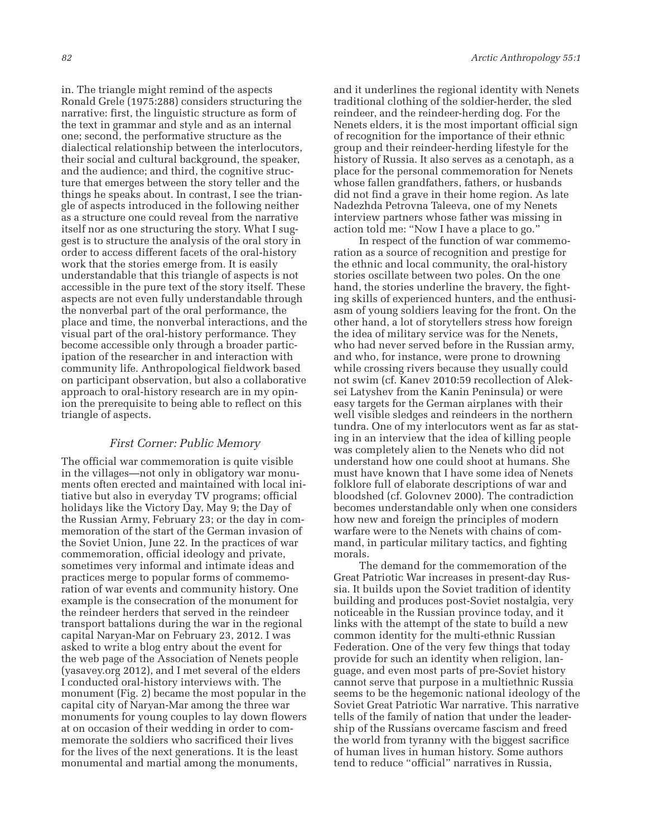in. The triangle might remind of the aspects Ronald Grele (1975:288) considers structuring the narrative: first, the linguistic structure as form of the text in grammar and style and as an internal one; second, the performative structure as the dialectical relationship between the interlocutors, their social and cultural background, the speaker, and the audience; and third, the cognitive structure that emerges between the story teller and the things he speaks about. In contrast, I see the triangle of aspects introduced in the following neither as a structure one could reveal from the narrative itself nor as one structuring the story. What I suggest is to structure the analysis of the oral story in order to access different facets of the oral-history work that the stories emerge from. It is easily understandable that this triangle of aspects is not accessible in the pure text of the story itself. These aspects are not even fully understandable through the nonverbal part of the oral performance, the place and time, the nonverbal interactions, and the visual part of the oral-history performance. They become accessible only through a broader participation of the researcher in and interaction with community life. Anthropological fieldwork based on participant observation, but also a collaborative approach to oral-history research are in my opinion the prerequisite to being able to reflect on this triangle of aspects.

#### *First Corner: Public Memory*

The official war commemoration is quite visible in the villages—not only in obligatory war monuments often erected and maintained with local initiative but also in everyday TV programs; official holidays like the Victory Day, May 9; the Day of the Russian Army, February 23; or the day in commemoration of the start of the German invasion of the Soviet Union, June 22. In the practices of war commemoration, official ideology and private, sometimes very informal and intimate ideas and practices merge to popular forms of commemoration of war events and community history. One example is the consecration of the monument for the reindeer herders that served in the reindeer transport battalions during the war in the regional capital Naryan-Mar on February 23, 2012. I was asked to write a blog entry about the event for the web page of the Association of Nenets people (yasavey.org 2012), and I met several of the elders I conducted oral-history interviews with. The monument (Fig. 2) became the most popular in the capital city of Naryan-Mar among the three war monuments for young couples to lay down flowers at on occasion of their wedding in order to commemorate the soldiers who sacrificed their lives for the lives of the next generations. It is the least monumental and martial among the monuments,

and it underlines the regional identity with Nenets traditional clothing of the soldier-herder, the sled reindeer, and the reindeer-herding dog. For the Nenets elders, it is the most important official sign of recognition for the importance of their ethnic group and their reindeer-herding lifestyle for the history of Russia. It also serves as a cenotaph, as a place for the personal commemoration for Nenets whose fallen grandfathers, fathers, or husbands did not find a grave in their home region. As late Nadezhda Petrovna Taleeva, one of my Nenets interview partners whose father was missing in action told me: "Now I have a place to go."

In respect of the function of war commemoration as a source of recognition and prestige for the ethnic and local community, the oral-history stories oscillate between two poles. On the one hand, the stories underline the bravery, the fighting skills of experienced hunters, and the enthusiasm of young soldiers leaving for the front. On the other hand, a lot of storytellers stress how foreign the idea of military service was for the Nenets, who had never served before in the Russian army, and who, for instance, were prone to drowning while crossing rivers because they usually could not swim (cf. Kanev 2010:59 recollection of Aleksei Latyshev from the Kanin Peninsula) or were easy targets for the German airplanes with their well visible sledges and reindeers in the northern tundra. One of my interlocutors went as far as stating in an interview that the idea of killing people was completely alien to the Nenets who did not understand how one could shoot at humans. She must have known that I have some idea of Nenets folklore full of elaborate descriptions of war and bloodshed (cf. Golovnev 2000). The contradiction becomes understandable only when one considers how new and foreign the principles of modern warfare were to the Nenets with chains of command, in particular military tactics, and fighting morals.

The demand for the commemoration of the Great Patriotic War increases in present-day Russia. It builds upon the Soviet tradition of identity building and produces post-Soviet nostalgia, very noticeable in the Russian province today, and it links with the attempt of the state to build a new common identity for the multi-ethnic Russian Federation. One of the very few things that today provide for such an identity when religion, language, and even most parts of pre-Soviet history cannot serve that purpose in a multiethnic Russia seems to be the hegemonic national ideology of the Soviet Great Patriotic War narrative. This narrative tells of the family of nation that under the leadership of the Russians overcame fascism and freed the world from tyranny with the biggest sacrifice of human lives in human history. Some authors tend to reduce "official" narratives in Russia,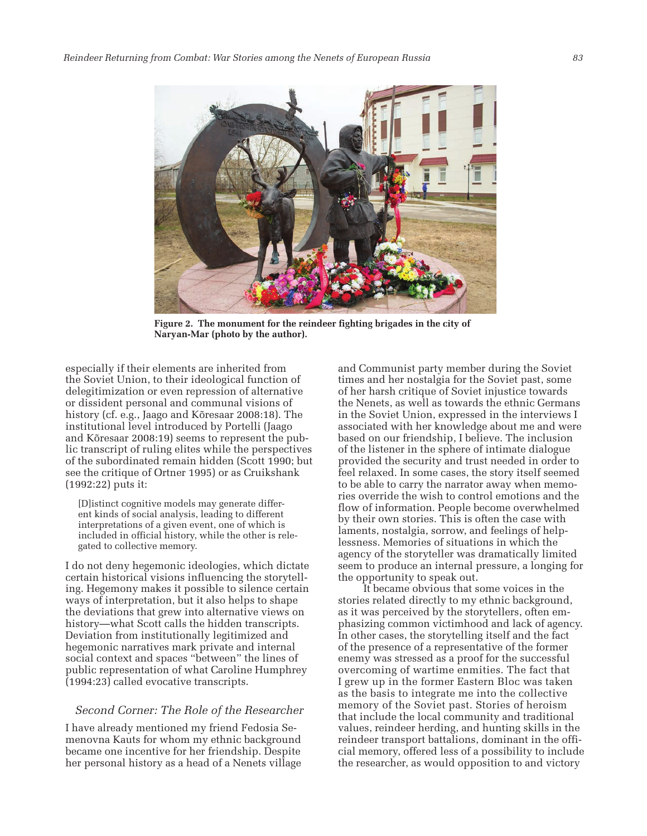

**Figure 2. The monument for the reindeer fighting brigades in the city of Naryan-Mar (photo by the author).**

especially if their elements are inherited from the Soviet Union, to their ideological function of delegitimization or even repression of alternative or dissident personal and communal visions of history (cf. e.g., Jaago and Kõresaar 2008:18). The institutional level introduced by Portelli (Jaago and Kõresaar 2008:19) seems to represent the public transcript of ruling elites while the perspectives of the subordinated remain hidden (Scott 1990; but see the critique of Ortner 1995) or as Cruikshank (1992:22) puts it:

[D]istinct cognitive models may generate different kinds of social analysis, leading to different interpretations of a given event, one of which is included in official history, while the other is relegated to collective memory.

I do not deny hegemonic ideologies, which dictate certain historical visions influencing the storytelling. Hegemony makes it possible to silence certain ways of interpretation, but it also helps to shape the deviations that grew into alternative views on history—what Scott calls the hidden transcripts. Deviation from institutionally legitimized and hegemonic narratives mark private and internal social context and spaces "between" the lines of public representation of what Caroline Humphrey (1994:23) called evocative transcripts.

#### *Second Corner: The Role of the Researcher*

I have already mentioned my friend Fedosia Semenovna Kauts for whom my ethnic background became one incentive for her friendship. Despite her personal history as a head of a Nenets village

and Communist party member during the Soviet times and her nostalgia for the Soviet past, some of her harsh critique of Soviet injustice towards the Nenets, as well as towards the ethnic Germans in the Soviet Union, expressed in the interviews I associated with her knowledge about me and were based on our friendship, I believe. The inclusion of the listener in the sphere of intimate dialogue provided the security and trust needed in order to feel relaxed. In some cases, the story itself seemed to be able to carry the narrator away when memories override the wish to control emotions and the flow of information. People become overwhelmed by their own stories. This is often the case with laments, nostalgia, sorrow, and feelings of helplessness. Memories of situations in which the agency of the storyteller was dramatically limited seem to produce an internal pressure, a longing for the opportunity to speak out.

It became obvious that some voices in the stories related directly to my ethnic background, as it was perceived by the storytellers, often emphasizing common victimhood and lack of agency. In other cases, the storytelling itself and the fact of the presence of a representative of the former enemy was stressed as a proof for the successful overcoming of wartime enmities. The fact that I grew up in the former Eastern Bloc was taken as the basis to integrate me into the collective memory of the Soviet past. Stories of heroism that include the local community and traditional values, reindeer herding, and hunting skills in the reindeer transport battalions, dominant in the official memory, offered less of a possibility to include the researcher, as would opposition to and victory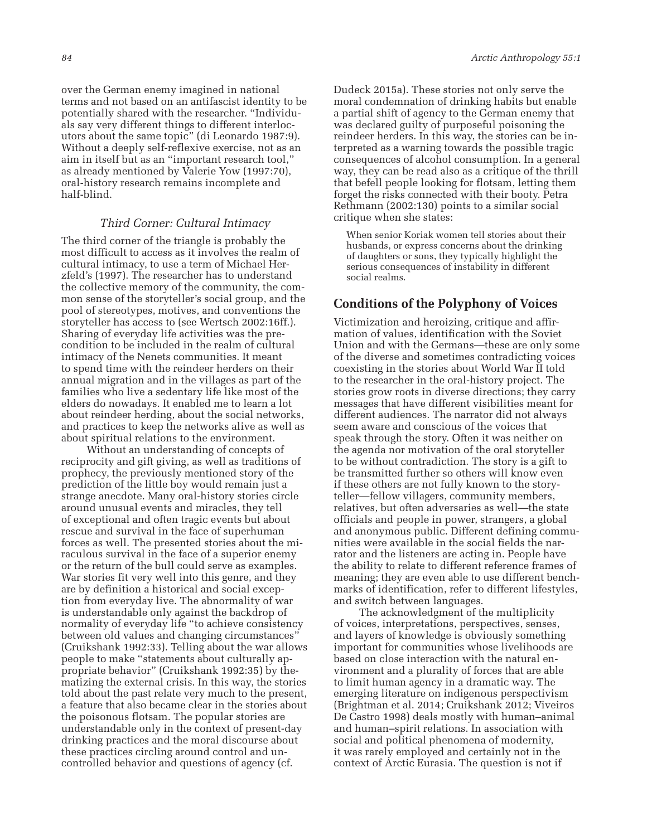over the German enemy imagined in national terms and not based on an antifascist identity to be potentially shared with the researcher. "Individuals say very different things to different interlocutors about the same topic" (di Leonardo 1987:9). Without a deeply self-reflexive exercise, not as an aim in itself but as an "important research tool," as already mentioned by Valerie Yow (1997:70), oral-history research remains incomplete and half-blind.

#### *Third Corner: Cultural Intimacy*

The third corner of the triangle is probably the most difficult to access as it involves the realm of cultural intimacy, to use a term of Michael Herzfeld's (1997). The researcher has to understand the collective memory of the community, the common sense of the storyteller's social group, and the pool of stereotypes, motives, and conventions the storyteller has access to (see Wertsch 2002:16ff.). Sharing of everyday life activities was the precondition to be included in the realm of cultural intimacy of the Nenets communities. It meant to spend time with the reindeer herders on their annual migration and in the villages as part of the families who live a sedentary life like most of the elders do nowadays. It enabled me to learn a lot about reindeer herding, about the social networks, and practices to keep the networks alive as well as about spiritual relations to the environment.

Without an understanding of concepts of reciprocity and gift giving, as well as traditions of prophecy, the previously mentioned story of the prediction of the little boy would remain just a strange anecdote. Many oral-history stories circle around unusual events and miracles, they tell of exceptional and often tragic events but about rescue and survival in the face of superhuman forces as well. The presented stories about the miraculous survival in the face of a superior enemy or the return of the bull could serve as examples. War stories fit very well into this genre, and they are by definition a historical and social exception from everyday live. The abnormality of war is understandable only against the backdrop of normality of everyday life "to achieve consistency between old values and changing circumstances" (Cruikshank 1992:33). Telling about the war allows people to make "statements about culturally appropriate behavior" (Cruikshank 1992:35) by thematizing the external crisis. In this way, the stories told about the past relate very much to the present, a feature that also became clear in the stories about the poisonous flotsam. The popular stories are understandable only in the context of present-day drinking practices and the moral discourse about these practices circling around control and uncontrolled behavior and questions of agency (cf.

Dudeck 2015a). These stories not only serve the moral condemnation of drinking habits but enable a partial shift of agency to the German enemy that was declared guilty of purposeful poisoning the reindeer herders. In this way, the stories can be interpreted as a warning towards the possible tragic consequences of alcohol consumption. In a general way, they can be read also as a critique of the thrill that befell people looking for flotsam, letting them forget the risks connected with their booty. Petra Rethmann (2002:130) points to a similar social critique when she states:

When senior Koriak women tell stories about their husbands, or express concerns about the drinking of daughters or sons, they typically highlight the serious consequences of instability in different social realms.

#### **Conditions of the Polyphony of Voices**

Victimization and heroizing, critique and affirmation of values, identification with the Soviet Union and with the Germans—these are only some of the diverse and sometimes contradicting voices coexisting in the stories about World War II told to the researcher in the oral-history project. The stories grow roots in diverse directions; they carry messages that have different visibilities meant for different audiences. The narrator did not always seem aware and conscious of the voices that speak through the story. Often it was neither on the agenda nor motivation of the oral storyteller to be without contradiction. The story is a gift to be transmitted further so others will know even if these others are not fully known to the storyteller—fellow villagers, community members, relatives, but often adversaries as well—the state officials and people in power, strangers, a global and anonymous public. Different defining communities were available in the social fields the narrator and the listeners are acting in. People have the ability to relate to different reference frames of meaning; they are even able to use different benchmarks of identification, refer to different lifestyles, and switch between languages.

The acknowledgment of the multiplicity of voices, interpretations, perspectives, senses, and layers of knowledge is obviously something important for communities whose livelihoods are based on close interaction with the natural environment and a plurality of forces that are able to limit human agency in a dramatic way. The emerging literature on indigenous perspectivism (Brightman et al. 2014; Cruikshank 2012; Viveiros De Castro 1998) deals mostly with human–animal and human–spirit relations. In association with social and political phenomena of modernity, it was rarely employed and certainly not in the context of Arctic Eurasia. The question is not if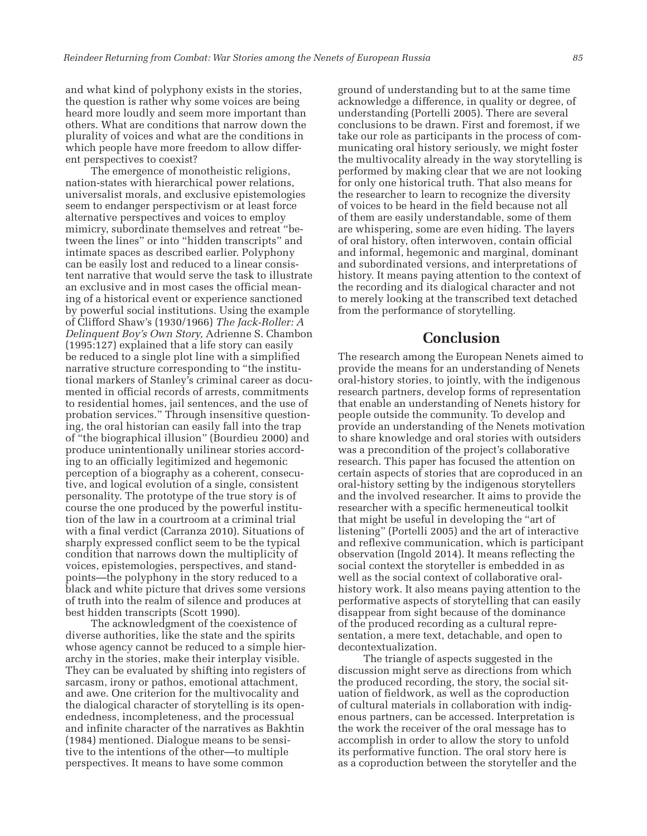and what kind of polyphony exists in the stories, the question is rather why some voices are being heard more loudly and seem more important than others. What are conditions that narrow down the plurality of voices and what are the conditions in which people have more freedom to allow different perspectives to coexist?

The emergence of monotheistic religions, nation-states with hierarchical power relations, universalist morals, and exclusive epistemologies seem to endanger perspectivism or at least force alternative perspectives and voices to employ mimicry, subordinate themselves and retreat "between the lines" or into "hidden transcripts" and intimate spaces as described earlier. Polyphony can be easily lost and reduced to a linear consistent narrative that would serve the task to illustrate an exclusive and in most cases the official meaning of a historical event or experience sanctioned by powerful social institutions. Using the example of Clifford Shaw's (1930/1966) *The Jack-Roller: A Delinquent Boy's Own Story,* Adrienne S. Chambon (1995:127) explained that a life story can easily be reduced to a single plot line with a simplified narrative structure corresponding to "the institutional markers of Stanley's criminal career as documented in official records of arrests, commitments to residential homes, jail sentences, and the use of probation services." Through insensitive questioning, the oral historian can easily fall into the trap of "the biographical illusion" (Bourdieu 2000) and produce unintentionally unilinear stories according to an officially legitimized and hegemonic perception of a biography as a coherent, consecutive, and logical evolution of a single, consistent personality. The prototype of the true story is of course the one produced by the powerful institution of the law in a courtroom at a criminal trial with a final verdict (Carranza 2010). Situations of sharply expressed conflict seem to be the typical condition that narrows down the multiplicity of voices, epistemologies, perspectives, and standpoints—the polyphony in the story reduced to a black and white picture that drives some versions of truth into the realm of silence and produces at best hidden transcripts (Scott 1990).

The acknowledgment of the coexistence of diverse authorities, like the state and the spirits whose agency cannot be reduced to a simple hierarchy in the stories, make their interplay visible. They can be evaluated by shifting into registers of sarcasm, irony or pathos, emotional attachment, and awe. One criterion for the multivocality and the dialogical character of storytelling is its openendedness, incompleteness, and the processual and infinite character of the narratives as Bakhtin (1984) mentioned. Dialogue means to be sensitive to the intentions of the other—to multiple perspectives. It means to have some common

ground of understanding but to at the same time acknowledge a difference, in quality or degree, of understanding (Portelli 2005). There are several conclusions to be drawn. First and foremost, if we take our role as participants in the process of communicating oral history seriously, we might foster the multivocality already in the way storytelling is performed by making clear that we are not looking for only one historical truth. That also means for the researcher to learn to recognize the diversity of voices to be heard in the field because not all of them are easily understandable, some of them are whispering, some are even hiding. The layers of oral history, often interwoven, contain official and informal, hegemonic and marginal, dominant and subordinated versions, and interpretations of history. It means paying attention to the context of the recording and its dialogical character and not to merely looking at the transcribed text detached from the performance of storytelling.

# **Conclusion**

The research among the European Nenets aimed to provide the means for an understanding of Nenets oral-history stories, to jointly, with the indigenous research partners, develop forms of representation that enable an understanding of Nenets history for people outside the community. To develop and provide an understanding of the Nenets motivation to share knowledge and oral stories with outsiders was a precondition of the project's collaborative research. This paper has focused the attention on certain aspects of stories that are coproduced in an oral-history setting by the indigenous storytellers and the involved researcher. It aims to provide the researcher with a specific hermeneutical toolkit that might be useful in developing the "art of listening" (Portelli 2005) and the art of interactive and reflexive communication, which is participant observation (Ingold 2014). It means reflecting the social context the storyteller is embedded in as well as the social context of collaborative oralhistory work. It also means paying attention to the performative aspects of storytelling that can easily disappear from sight because of the dominance of the produced recording as a cultural representation, a mere text, detachable, and open to decontextualization.

The triangle of aspects suggested in the discussion might serve as directions from which the produced recording, the story, the social situation of fieldwork, as well as the coproduction of cultural materials in collaboration with indigenous partners, can be accessed. Interpretation is the work the receiver of the oral message has to accomplish in order to allow the story to unfold its performative function. The oral story here is as a coproduction between the storyteller and the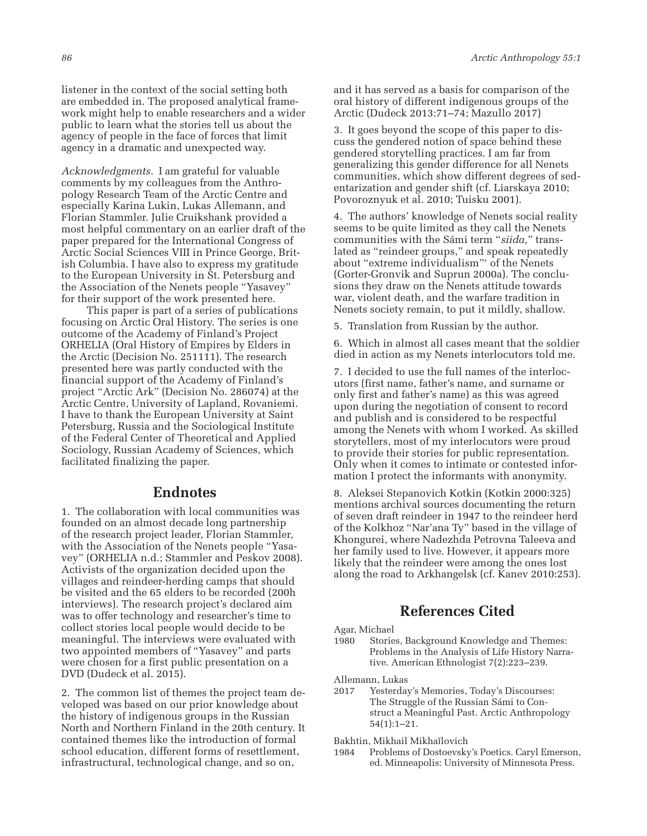listener in the context of the social setting both are embedded in. The proposed analytical framework might help to enable researchers and a wider public to learn what the stories tell us about the agency of people in the face of forces that limit agency in a dramatic and unexpected way.

*Acknowledgments.* I am grateful for valuable comments by my colleagues from the Anthropology Research Team of the Arctic Centre and especially Karina Lukin, Lukas Allemann, and Florian Stammler. Julie Cruikshank provided a most helpful commentary on an earlier draft of the paper prepared for the International Congress of Arctic Social Sciences VIII in Prince George, British Columbia. I have also to express my gratitude to the European University in St. Petersburg and the Association of the Nenets people "Yasavey" for their support of the work presented here.

This paper is part of a series of publications focusing on Arctic Oral History. The series is one outcome of the Academy of Finland's Project ORHELIA (Oral History of Empires by Elders in the Arctic (Decision No. 251111). The research presented here was partly conducted with the financial support of the Academy of Finland's project "Arctic Ark" (Decision No. 286074) at the Arctic Centre, University of Lapland, Rovaniemi. I have to thank the European University at Saint Petersburg, Russia and the Sociological Institute of the Federal Center of Theoretical and Applied Sociology, Russian Academy of Sciences, which facilitated finalizing the paper.

#### **Endnotes**

1. The collaboration with local communities was founded on an almost decade long partnership of the research project leader, Florian Stammler, with the Association of the Nenets people "Yasavey" (ORHELIA n.d.; Stammler and Peskov 2008). Activists of the organization decided upon the villages and reindeer-herding camps that should be visited and the 65 elders to be recorded (200h interviews). The research project's declared aim was to offer technology and researcher's time to collect stories local people would decide to be meaningful. The interviews were evaluated with two appointed members of "Yasavey" and parts were chosen for a first public presentation on a DVD (Dudeck et al. 2015).

2. The common list of themes the project team developed was based on our prior knowledge about the history of indigenous groups in the Russian North and Northern Finland in the 20th century. It contained themes like the introduction of formal school education, different forms of resettlement, infrastructural, technological change, and so on,

and it has served as a basis for comparison of the oral history of different indigenous groups of the Arctic (Dudeck 2013:71-74; Mazullo 2017)

3. It goes beyond the scope of this paper to discuss the gendered notion of space behind these gendered storytelling practices. I am far from generalizing this gender difference for all Nenets communities, which show different degrees of sedentarization and gender shift (cf. Liarskaya 2010; Povoroznyuk et al. 2010; Tuisku 2001).

4. The authors' knowledge of Nenets social reality seems to be quite limited as they call the Nenets communities with the Sámi term "*siida,*" translated as "reindeer groups," and speak repeatedly about "extreme individualism"' of the Nenets (Gorter-Gronvik and Suprun 2000a). The conclusions they draw on the Nenets attitude towards war, violent death, and the warfare tradition in Nenets society remain, to put it mildly, shallow.

5. Translation from Russian by the author.

6. Which in almost all cases meant that the soldier died in action as my Nenets interlocutors told me.

7. I decided to use the full names of the interlocutors (first name, father's name, and surname or only first and father's name) as this was agreed upon during the negotiation of consent to record and publish and is considered to be respectful among the Nenets with whom I worked. As skilled storytellers, most of my interlocutors were proud to provide their stories for public representation. Only when it comes to intimate or contested information I protect the informants with anonymity.

8. Aleksei Stepanovich Kotkin (Kotkin 2000:325) mentions archival sources documenting the return of seven draft reindeer in 1947 to the reindeer herd of the Kolkhoz "Nar'ana Ty" based in the village of Khongurei, where Nadezhda Petrovna Taleeva and her family used to live. However, it appears more likely that the reindeer were among the ones lost along the road to Arkhangelsk (cf. Kanev 2010:253).

# **References Cited**

Agar, Michael

1980 Stories, Background Knowledge and Themes: Problems in the Analysis of Life History Narrative. American Ethnologist 7(2):223–239.

Allemann, Lukas

2017 Yesterday's Memories, Today's Discourses: The Struggle of the Russian Sámi to Construct a Meaningful Past. Arctic Anthropology 54(1):1–21.

Bakhtin, Mikhail Mikhaĭlovich

1984 Problems of Dostoevsky's Poetics. Caryl Emerson, ed. Minneapolis: University of Minnesota Press.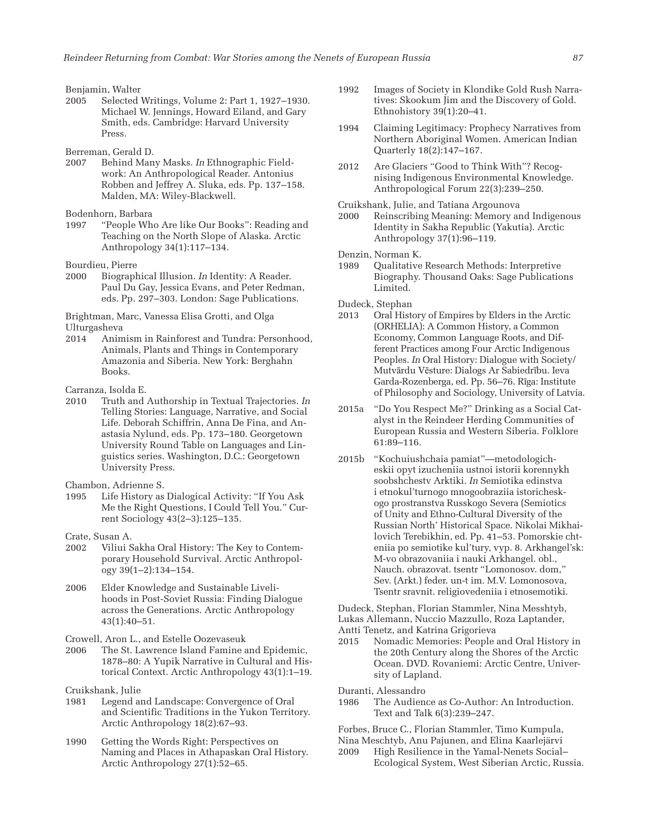#### Benjamin, Walter

2005 Selected Writings, Volume 2: Part 1, 1927–1930. Michael W. Jennings, Howard Eiland, and Gary Smith, eds. Cambridge: Harvard University Press.

Berreman, Gerald D.

2007 Behind Many Masks. *In* Ethnographic Fieldwork: An Anthropological Reader. Antonius Robben and Jeffrey A. Sluka, eds. Pp. 137–158. Malden, MA: Wiley-Blackwell.

Bodenhorn, Barbara

1997 "People Who Are like Our Books": Reading and Teaching on the North Slope of Alaska. Arctic Anthropology 34(1):117–134.

Bourdieu, Pierre

2000 Biographical Illusion. *In* Identity: A Reader. Paul Du Gay, Jessica Evans, and Peter Redman, eds. Pp. 297–303. London: Sage Publications.

Brightman, Marc, Vanessa Elisa Grotti, and Olga Ulturgasheva

2014 Animism in Rainforest and Tundra: Personhood, Animals, Plants and Things in Contemporary Amazonia and Siberia. New York: Berghahn Books.

Carranza, Isolda E.

2010 Truth and Authorship in Textual Trajectories. *In* Telling Stories: Language, Narrative, and Social Life. Deborah Schiffrin, Anna De Fina, and Anastasia Nylund, eds. Pp. 173–180. Georgetown University Round Table on Languages and Linguistics series. Washington, D.C.: Georgetown University Press.

Chambon, Adrienne S.

1995 Life History as Dialogical Activity: "If You Ask Me the Right Questions, I Could Tell You." Current Sociology 43(2–3):125–135.

Crate, Susan A.

- 2002 Viliui Sakha Oral History: The Key to Contemporary Household Survival. Arctic Anthropology 39(1–2):134–154.
- 2006 Elder Knowledge and Sustainable Livelihoods in Post-Soviet Russia: Finding Dialogue across the Generations. Arctic Anthropology 43(1):40–51.

Crowell, Aron L., and Estelle Oozevaseuk

2006 The St. Lawrence Island Famine and Epidemic, 1878–80: A Yupik Narrative in Cultural and Historical Context. Arctic Anthropology 43(1):1–19.

Cruikshank, Julie

- 1981 Legend and Landscape: Convergence of Oral and Scientific Traditions in the Yukon Territory. Arctic Anthropology 18(2):67–93.
- 1990 Getting the Words Right: Perspectives on Naming and Places in Athapaskan Oral History. Arctic Anthropology 27(1):52–65.
- 1992 Images of Society in Klondike Gold Rush Narratives: Skookum Jim and the Discovery of Gold. Ethnohistory 39(1):20–41.
- 1994 Claiming Legitimacy: Prophecy Narratives from Northern Aboriginal Women. American Indian Quarterly 18(2):147–167.
- 2012 Are Glaciers "Good to Think With"? Recognising Indigenous Environmental Knowledge. Anthropological Forum 22(3):239–250.

Cruikshank, Julie, and Tatiana Argounova

2000 Reinscribing Meaning: Memory and Indigenous Identity in Sakha Republic (Yakutia). Arctic Anthropology 37(1):96–119.

Denzin, Norman K.

1989 Qualitative Research Methods: Interpretive Biography. Thousand Oaks: Sage Publications Limited.

Dudeck, Stephan

- 2013 Oral History of Empires by Elders in the Arctic (ORHELIA): A Common History, a Common Economy, Common Language Roots, and Different Practices among Four Arctic Indigenous Peoples. *In* Oral History: Dialogue with Society/ Mutvārdu Vēsture: Dialogs Ar Sabiedrību. Ieva Garda-Rozenberga, ed. Pp. 56–76. Rīga: Institute of Philosophy and Sociology, University of Latvia.
- 2015a "Do You Respect Me?" Drinking as a Social Catalyst in the Reindeer Herding Communities of European Russia and Western Siberia. Folklore 61:89–116.
- 2015b "Kochuiushchaia pamiat"—metodologicheskii opyt izucheniia ustnoi istorii korennykh soobshchestv Arktiki. *In* Semiotika edinstva i etnokul'turnogo mnogoobraziia istoricheskogo prostranstva Russkogo Severa (Semiotics of Unity and Ethno-Cultural Diversity of the Russian North' Historical Space. Nikolai Mikhailovich Terebikhin, ed. Pp. 41–53. Pomorskie chteniia po semiotike kul'tury, vyp. 8. Arkhangel'sk: M-vo obrazovaniia i nauki Arkhangel. obl., Nauch. obrazovat. tsentr "Lomonosov. dom," Sev. (Arkt.) feder. un-t im. M.V. Lomonosova, Tsentr sravnit. religiovedeniia i etnosemotiki.

Dudeck, Stephan, Florian Stammler, Nina Messhtyb, Lukas Allemann, Nuccio Mazzullo, Roza Laptander, Antti Tenetz, and Katrina Grigorieva

2015 Nomadic Memories: People and Oral History in the 20th Century along the Shores of the Arctic Ocean. DVD. Rovaniemi: Arctic Centre, University of Lapland.

Duranti, Alessandro

1986 The Audience as Co-Author: An Introduction. Text and Talk 6(3):239–247.

Forbes, Bruce C., Florian Stammler, Timo Kumpula,

Nina Meschtyb, Anu Pajunen, and Elina Kaarlejärvi

2009 High Resilience in the Yamal-Nenets Social– Ecological System, West Siberian Arctic, Russia.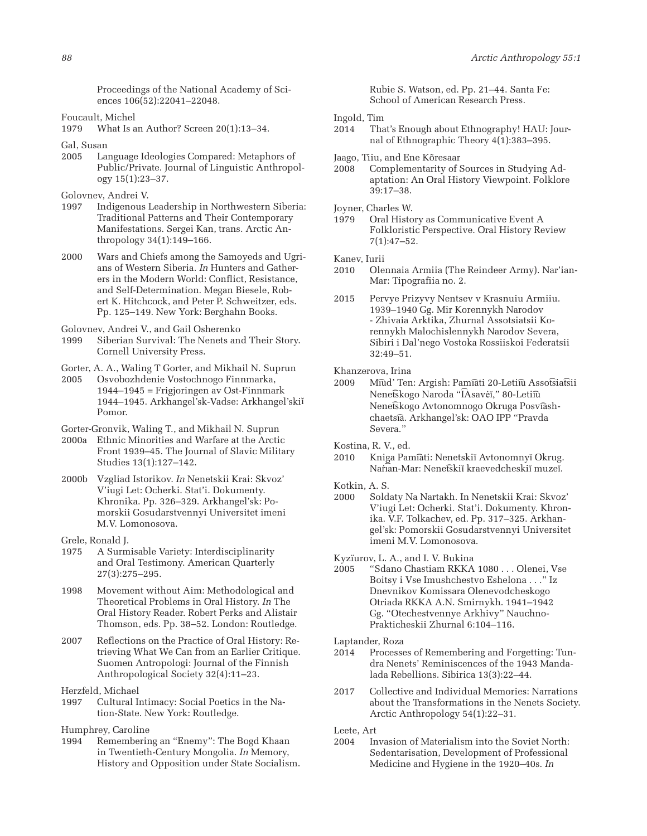Proceedings of the National Academy of Sciences 106(52):22041–22048.

Foucault, Michel

1979 What Is an Author? Screen 20(1):13–34.

Gal, Susan

2005 Language Ideologies Compared: Metaphors of Public/Private. Journal of Linguistic Anthropology 15(1):23–37.

Golovnev, Andrei V.

- 1997 Indigenous Leadership in Northwestern Siberia: Traditional Patterns and Their Contemporary Manifestations. Sergei Kan, trans. Arctic Anthropology 34(1):149–166.
- 2000 Wars and Chiefs among the Samoyeds and Ugrians of Western Siberia. *In* Hunters and Gatherers in the Modern World: Conflict, Resistance, and Self-Determination. Megan Biesele, Robert K. Hitchcock, and Peter P. Schweitzer, eds. Pp. 125–149. New York: Berghahn Books.

Golovnev, Andrei V., and Gail Osherenko

1999 Siberian Survival: The Nenets and Their Story. Cornell University Press.

Gorter, A. A., Waling T Gorter, and Mikhail N. Suprun

2005 Osvobozhdenie Vostochnogo Finnmarka, 1944–1945 = Frigjoringen av Ost-Finnmark 1944–1945. Arkhangel'sk-Vadse: Arkhangel'skiĭ Pomor.

Gorter-Gronvik, Waling T., and Mikhail N. Suprun

- 2000a Ethnic Minorities and Warfare at the Arctic Front 1939–45. The Journal of Slavic Military Studies 13(1):127–142.
- 2000b Vzgliad Istorikov. *In* Nenetskii Krai: Skvoz' V'iugi Let: Ocherki. Stat'i. Dokumenty. Khronika. Pp. 326–329. Arkhangel'sk: Pomorskii Gosudarstvennyi Universitet imeni M.V. Lomonosova.

Grele, Ronald J.

- 1975 A Surmisable Variety: Interdisciplinarity and Oral Testimony. American Quarterly 27(3):275–295.
- 1998 Movement without Aim: Methodological and Theoretical Problems in Oral History. *In* The Oral History Reader. Robert Perks and Alistair Thomson, eds. Pp. 38–52. London: Routledge.
- 2007 Reflections on the Practice of Oral History: Retrieving What We Can from an Earlier Critique. Suomen Antropologi: Journal of the Finnish Anthropological Society 32(4):11–23.

Herzfeld, Michael

1997 Cultural Intimacy: Social Poetics in the Nation-State. New York: Routledge.

Humphrey, Caroline

1994 Remembering an "Enemy": The Bogd Khaan in Twentieth-Century Mongolia. *In* Memory, History and Opposition under State Socialism. Rubie S. Watson, ed. Pp. 21–44. Santa Fe: School of American Research Press.

Ingold, Tim

- 2014 That's Enough about Ethnography! HAU: Journal of Ethnographic Theory 4(1):383–395.
- Jaago, Tiiu, and Ene Kõresaar
- 2008 Complementarity of Sources in Studying Adaptation: An Oral History Viewpoint. Folklore 39:17–38.

Joyner, Charles W.

1979 Oral History as Communicative Event A Folkloristic Perspective. Oral History Review 7(1):47–52.

Kanev, Iurii

- 2010 Olennaia Armiia (The Reindeer Army). Nar'ian-Mar: Tipografiia no. 2.
- 2015 Pervye Prizyvy Nentsev v Krasnuiu Armiiu. 1939–1940 Gg. Mir Korennykh Narodov - Zhivaia Arktika, Zhurnal Assotsiatsii Korennykh Malochislennykh Narodov Severa, Sibiri i Dal'nego Vostoka Rossiiskoi Federatsii 32:49–51.

Khanzerova, Irina

2009 Mīūd' Ten: Argish: Pamīāti 20-Letiīū Assofsiafsii Nene͡tskogo Naroda "I ͡Asavėĭ," 80-Leti͡ıu Nenefskogo Avtonomnogo Okruga Posviashchaets͡ıa. Arkhangel'sk: OAO IPP "Pravda Severa."

Kostina, R. V., ed.

- 2010 Kniga Pamīāti: Nenetskiĭ Avtonomnyĭ Okrug. Naŕ͡ıan-Mar: Nene͡tskiĭ kraevedcheskiĭ muzeĭ.
- Kotkin, A. S.
- 2000 Soldaty Na Nartakh. In Nenetskii Krai: Skvoz' V'iugi Let: Ocherki. Stat'i. Dokumenty. Khronika. V.F. Tolkachev, ed. Pp. 317–325. Arkhangel'sk: Pomorskii Gosudarstvennyi Universitet imeni M.V. Lomonosova.

Kyzïurov, L. A., and I. V. Bukina

2005 "Sdano Chastiam RKKA 1080 . . . Olenei, Vse Boitsy i Vse Imushchestvo Eshelona . . ." Iz Dnevnikov Komissara Olenevodcheskogo Otriada RKKA A.N. Smirnykh. 1941–1942 Gg. "Otechestvennye Arkhivy" Nauchno-Prakticheskii Zhurnal 6:104–116.

Laptander, Roza

- 2014 Processes of Remembering and Forgetting: Tundra Nenets' Reminiscences of the 1943 Mandalada Rebellions. Sibirica 13(3):22–44.
- 2017 Collective and Individual Memories: Narrations about the Transformations in the Nenets Society. Arctic Anthropology 54(1):22–31.

Leete, Art

2004 Invasion of Materialism into the Soviet North: Sedentarisation, Development of Professional Medicine and Hygiene in the 1920–40s. *In*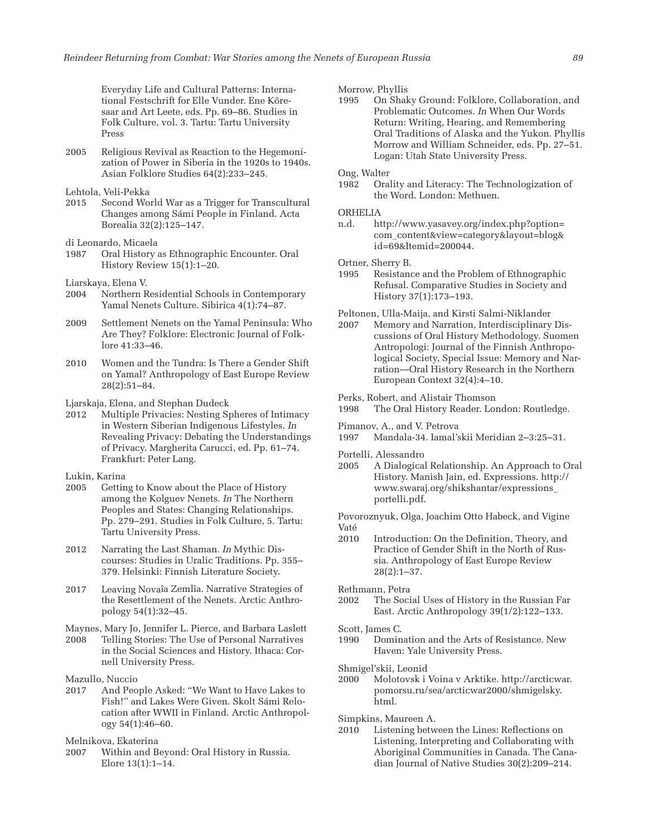Everyday Life and Cultural Patterns: International Festschrift for Elle Vunder. Ene Kõresaar and Art Leete, eds. Pp. 69–86. Studies in Folk Culture, vol. 3. Tartu: Tartu University Press

2005 Religious Revival as Reaction to the Hegemonization of Power in Siberia in the 1920s to 1940s. Asian Folklore Studies 64(2):233–245.

Lehtola, Veli-Pekka

2015 Second World War as a Trigger for Transcultural Changes among Sámi People in Finland. Acta Borealia 32(2):125–147.

di Leonardo, Micaela

- 1987 Oral History as Ethnographic Encounter. Oral History Review 15(1):1–20.
- Liarskaya, Elena V.
- 2004 Northern Residential Schools in Contemporary Yamal Nenets Culture. Sibirica 4(1):74–87.
- 2009 Settlement Nenets on the Yamal Peninsula: Who Are They? Folklore: Electronic Journal of Folklore 41:33–46.
- 2010 Women and the Tundra: Is There a Gender Shift on Yamal? Anthropology of East Europe Review 28(2):51–84.

Ljarskaja, Elena, and Stephan Dudeck

2012 Multiple Privacies: Nesting Spheres of Intimacy in Western Siberian Indigenous Lifestyles. *In* Revealing Privacy: Debating the Understandings of Privacy. Margherita Carucci, ed. Pp. 61–74. Frankfurt: Peter Lang.

Lukin, Karina

- 2005 Getting to Know about the Place of History among the Kolguev Nenets. *In* The Northern Peoples and States: Changing Relationships. Pp. 279–291. Studies in Folk Culture, 5. Tartu: Tartu University Press.
- 2012 Narrating the Last Shaman. *In* Mythic Discourses: Studies in Uralic Traditions. Pp. 355– 379. Helsinki: Finnish Literature Society.
- 2017 Leaving Novaȋa Zemlȋa. Narrative Strategies of the Resettlement of the Nenets. Arctic Anthropology 54(1):32–45.
- Maynes, Mary Jo, Jennifer L. Pierce, and Barbara Laslett 2008 Telling Stories: The Use of Personal Narratives in the Social Sciences and History. Ithaca: Cornell University Press.

Mazullo, Nuccio

2017 And People Asked: "We Want to Have Lakes to Fish!" and Lakes Were Given. Skolt Sámi Relocation after WWII in Finland. Arctic Anthropology 54(1):46–60.

Melnikova, Ekaterina

2007 Within and Beyond: Oral History in Russia. Elore 13(1):1–14.

Morrow, Phyllis

1995 On Shaky Ground: Folklore, Collaboration, and Problematic Outcomes. *In* When Our Words Return: Writing, Hearing, and Remembering Oral Traditions of Alaska and the Yukon. Phyllis Morrow and William Schneider, eds. Pp. 27–51. Logan: Utah State University Press.

Ong, Walter

- 1982 Orality and Literacy: The Technologization of the Word. London: Methuen.
- ORHELIA
- n.d. http://www.yasavey.org/index.php?option= com\_content&view=category&layout=blog& id=69&Itemid=200044.

Ortner, Sherry B.

1995 Resistance and the Problem of Ethnographic Refusal. Comparative Studies in Society and History 37(1):173–193.

Peltonen, Ulla-Maija, and Kirsti Salmi-Niklander

2007 Memory and Narration, Interdisciplinary Discussions of Oral History Methodology. Suomen Antropologi: Journal of the Finnish Anthropological Society, Special Issue: Memory and Narration—Oral History Research in the Northern European Context 32(4):4–10.

Perks, Robert, and Alistair Thomson

- 1998 The Oral History Reader. London: Routledge.
- Pimanov, A., and V. Petrova
- 1997 Mandala-34. Iamal'skii Meridian 2–3:25–31.

Portelli, Alessandro

2005 A Dialogical Relationship. An Approach to Oral History. Manish Jain, ed. Expressions. http:// www.swaraj.org/shikshantar/expressions\_ portelli.pdf.

Povoroznyuk, Olga, Joachim Otto Habeck, and Vigine Vaté

2010 Introduction: On the Definition, Theory, and Practice of Gender Shift in the North of Russia. Anthropology of East Europe Review 28(2):1–37.

Rethmann, Petra

- 2002 The Social Uses of History in the Russian Far East. Arctic Anthropology 39(1/2):122–133.
- Scott, James C.
- 1990 Domination and the Arts of Resistance. New Haven: Yale University Press.

Shmigel'skii, Leonid

2000 Molotovsk i Voina v Arktike. http://arcticwar. pomorsu.ru/sea/arcticwar2000/shmigelsky. html.

Simpkins, Maureen A.

2010 Listening between the Lines: Reflections on Listening, Interpreting and Collaborating with Aboriginal Communities in Canada. The Canadian Journal of Native Studies 30(2):209–214.